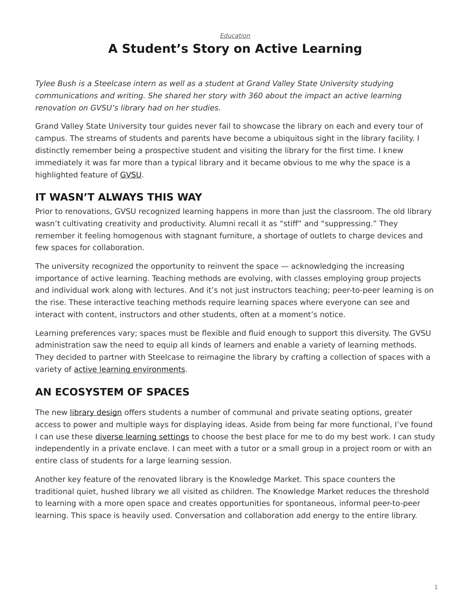#### <span id="page-0-0"></span>*[Education](https://www.steelcase.com/research/topics/education/)* **A Student's Story on Active Learning**

*Tylee Bush is a Steelcase intern as well as a student at Grand Valley State University studying communications and writing. She shared her story with 360 about the impact an active learning renovation on GVSU's library had on her studies.*

Grand Valley State University tour guides never fail to showcase the library on each and every tour of campus. The streams of students and parents have become a ubiquitous sight in the library facility. I distinctly remember being a prospective student and visiting the library for the first time. I knew immediately it was far more than a typical library and it became obvious to me why the space is a highlighted feature of [GVSU](https://www.steelcase.com/insights/case-studies/library-case-study-grand-valley-state-university/).

# **IT WASN'T ALWAYS THIS WAY**

Prior to renovations, GVSU recognized learning happens in more than just the classroom. The old library wasn't cultivating creativity and productivity. Alumni recall it as "stiff" and "suppressing." They remember it feeling homogenous with stagnant furniture, a shortage of outlets to charge devices and few spaces for collaboration.

The university recognized the opportunity to reinvent the space — acknowledging the increasing importance of active learning. Teaching methods are evolving, with classes employing group projects and individual work along with lectures. And it's not just instructors teaching; peer-to-peer learning is on the rise. These interactive teaching methods require learning spaces where everyone can see and interact with content, instructors and other students, often at a moment's notice.

Learning preferences vary; spaces must be flexible and fluid enough to support this diversity. The GVSU administration saw the need to equip all kinds of learners and enable a variety of learning methods. They decided to partner with Steelcase to reimagine the library by crafting a collection of spaces with a variety of [active learning environments.](https://www.steelcase.com/resources/documents/steelcase-education-insights-applications-guide/)

# **AN ECOSYSTEM OF SPACES**

The new [library design](https://www.steelcase.com/spaces-inspiration/active-learning-spaces-libraries/) offers students a number of communal and private seating options, greater access to power and multiple ways for displaying ideas. Aside from being far more functional, I've found I can use these [diverse learning settings](https://www.steelcase.com/spaces-inspiration/active-learning-spaces-classrooms/) to choose the best place for me to do my best work. I can study independently in a private enclave. I can meet with a tutor or a small group in a project room or with an entire class of students for a large learning session.

Another key feature of the renovated library is the Knowledge Market. This space counters the traditional quiet, hushed library we all visited as children. The Knowledge Market reduces the threshold to learning with a more open space and creates opportunities for spontaneous, informal peer-to-peer learning. This space is heavily used. Conversation and collaboration add energy to the entire library.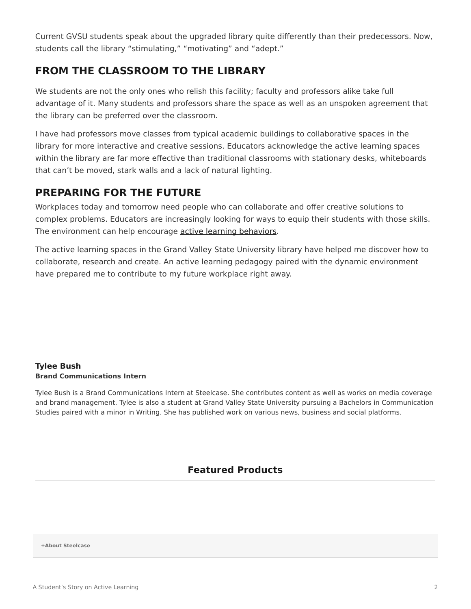Current GVSU students speak about the upgraded library quite differently than their predecessors. Now, students call the library "stimulating," "motivating" and "adept."

## **FROM THE CLASSROOM TO THE LIBRARY**

We students are not the only ones who relish this facility; faculty and professors alike take full advantage of it. Many students and professors share the space as well as an unspoken agreement that the library can be preferred over the classroom.

I have had professors move classes from typical academic buildings to collaborative spaces in the library for more interactive and creative sessions. Educators acknowledge the active learning spaces within the library are far more effective than traditional classrooms with stationary desks, whiteboards that can't be moved, stark walls and a lack of natural lighting.

## **PREPARING FOR THE FUTURE**

Workplaces today and tomorrow need people who can collaborate and offer creative solutions to complex problems. Educators are increasingly looking for ways to equip their students with those skills. The environment can help encourage [active learning behaviors.](https://www.steelcase.com/insights/articles/class-can-i-have-your-attention/)

The active learning spaces in the Grand Valley State University library have helped me discover how to collaborate, research and create. An active learning pedagogy paired with the dynamic environment have prepared me to contribute to my future workplace right away.

#### **[Tylee Bush](https://www.steelcase.com/research/articles/author/tbush1steelcase-com/) Brand Communications Intern**

Tylee Bush is a Brand Communications Intern at Steelcase. She contributes content as well as works on media coverage and brand management. Tylee is also a student at Grand Valley State University pursuing a Bachelors in Communication Studies paired with a minor in Writing. She has published work on various news, business and social platforms.

#### **Featured Products**

**[+About Steelcase](https://www.steelcase.com/discover/steelcase/our-company/)**